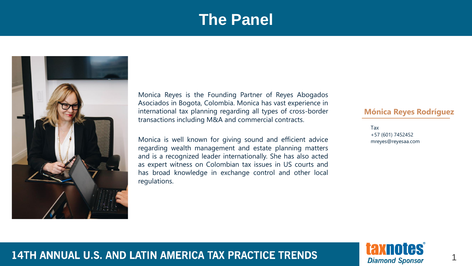#### **The Panel**



Monica Reyes is the Founding Partner of Reyes Abogados Asociados in Bogota, Colombia. Monica has vast experience in international tax planning regarding all types of cross-border transactions including M&A and commercial contracts.

Monica is well known for giving sound and efficient advice regarding wealth management and estate planning matters and is a recognized leader internationally. She has also acted as expert witness on Colombian tax issues in US courts and has broad knowledge in exchange control and other local regulations.

#### **Mónica Reyes Rodríguez**

Tax +57 (601) 7452452 mreyes@reyesaa.com



1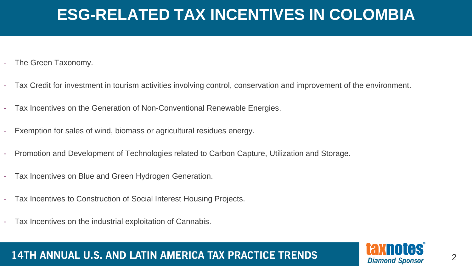- The Green Taxonomy.
- Tax Credit for investment in tourism activities involving control, conservation and improvement of the environment.
- Tax Incentives on the Generation of Non-Conventional Renewable Energies.
- Exemption for sales of wind, biomass or agricultural residues energy.
- Promotion and Development of Technologies related to Carbon Capture, Utilization and Storage.
- Tax Incentives on Blue and Green Hydrogen Generation.
- Tax Incentives to Construction of Social Interest Housing Projects.
- Tax Incentives on the industrial exploitation of Cannabis.

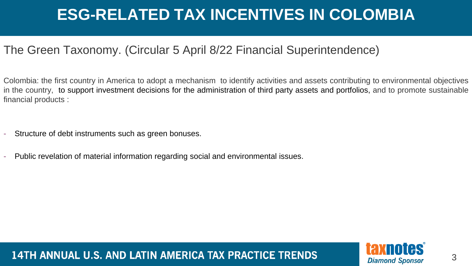#### The Green Taxonomy. (Circular 5 April 8/22 Financial Superintendence)

Colombia: the first country in America to adopt a mechanism to identify activities and assets contributing to environmental objectives in the country, to support investment decisions for the administration of third party assets and portfolios, and to promote sustainable financial products :

- Structure of debt instruments such as green bonuses.
- Public revelation of material information regarding social and environmental issues.

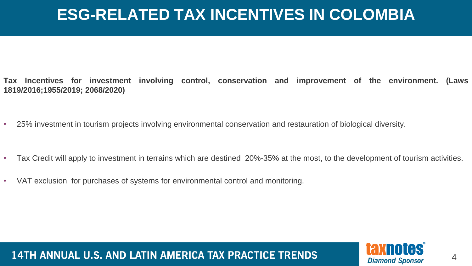- **Tax Incentives for investment involving control, conservation and improvement of the environment. (Laws 1819/2016;1955/2019; 2068/2020)**
- 25% investment in tourism projects involving environmental conservation and restauration of biological diversity.
- Tax Credit will apply to investment in terrains which are destined 20%-35% at the most, to the development of tourism activities.
- VAT exclusion for purchases of systems for environmental control and monitoring.

**taxnotes Diamond Sponsor** 

4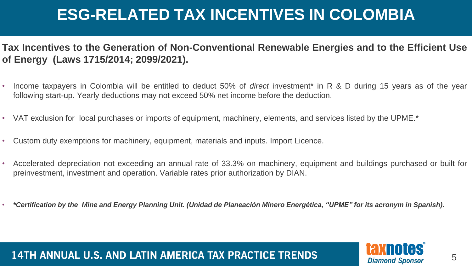**Tax Incentives to the Generation of Non-Conventional Renewable Energies and to the Efficient Use of Energy (Laws 1715/2014; 2099/2021).**

- Income taxpayers in Colombia will be entitled to deduct 50% of *direct* investment\* in R & D during 15 years as of the year following start-up. Yearly deductions may not exceed 50% net income before the deduction.
- VAT exclusion for local purchases or imports of equipment, machinery, elements, and services listed by the UPME.\*
- Custom duty exemptions for machinery, equipment, materials and inputs. Import Licence.
- Accelerated depreciation not exceeding an annual rate of 33.3% on machinery, equipment and buildings purchased or built for preinvestment, investment and operation. Variable rates prior authorization by DIAN.
- \*Certification by the Mine and Energy Planning Unit. (Unidad de Planeación Minero Energética, "UPME" for its acronym in Spanish).

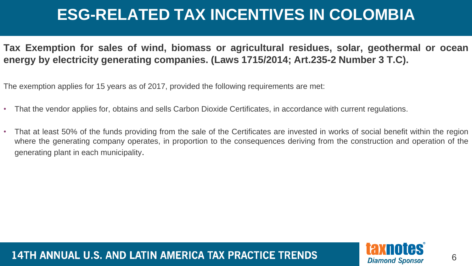**Tax Exemption for sales of wind, biomass or agricultural residues, solar, geothermal or ocean energy by electricity generating companies. (Laws 1715/2014; Art.235-2 Number 3 T.C).**

The exemption applies for 15 years as of 2017, provided the following requirements are met:

- That the vendor applies for, obtains and sells Carbon Dioxide Certificates, in accordance with current regulations.
- That at least 50% of the funds providing from the sale of the Certificates are invested in works of social benefit within the region where the generating company operates, in proportion to the consequences deriving from the construction and operation of the generating plant in each municipality.

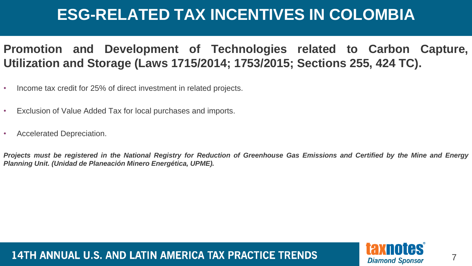#### **Promotion and Development of Technologies related to Carbon Capture, Utilization and Storage (Laws 1715/2014; 1753/2015; Sections 255, 424 TC).**

- Income tax credit for 25% of direct investment in related projects.
- Exclusion of Value Added Tax for local purchases and imports.
- Accelerated Depreciation.

Projects must be registered in the National Registry for Reduction of Greenhouse Gas Emissions and Certified by the Mine and Energy *Planning Unit. (Unidad de Planeación Minero Energética, UPME).*

14TH ANNUAL U.S. AND LATIN AMERICA TAX PRACTICE TRENDS



7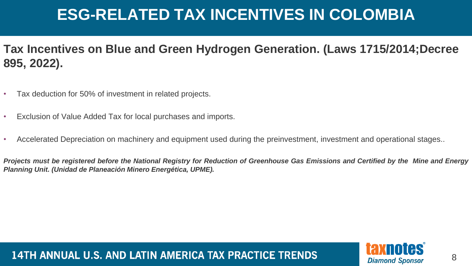**Tax Incentives on Blue and Green Hydrogen Generation. (Laws 1715/2014;Decree 895, 2022).**

- Tax deduction for 50% of investment in related projects.
- Exclusion of Value Added Tax for local purchases and imports.
- Accelerated Depreciation on machinery and equipment used during the preinvestment, investment and operational stages..

Projects must be registered before the National Registry for Reduction of Greenhouse Gas Emissions and Certified by the Mine and Energy *Planning Unit. (Unidad de Planeación Minero Energética, UPME).*

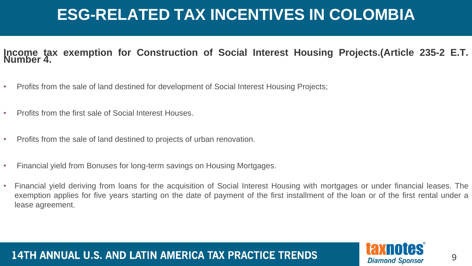#### **Income tax exemption for Construction of Social Interest Housing Projects.(Article 235-2 E.T. Number 4.**

- Profits from the sale of land destined for development of Social Interest Housing Projects;
- Profits from the first sale of Social Interest Houses.
- Profits from the sale of land destined to projects of urban renovation.
- Financial yield from Bonuses for long-term savings on Housing Mortgages.
- Financial yield deriving from loans for the acquisition of Social Interest Housing with mortgages or under financial leases. The exemption applies for five years starting on the date of payment of the first installment of the loan or of the first rental under a lease agreement.

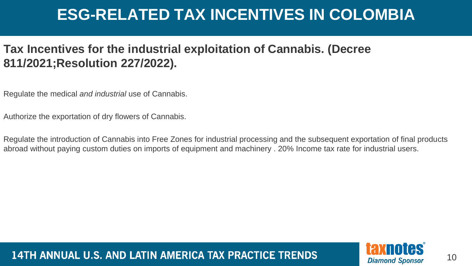#### **Tax Incentives for the industrial exploitation of Cannabis. (Decree 811/2021;Resolution 227/2022).**

Regulate the medical *and industrial* use of Cannabis.

Authorize the exportation of dry flowers of Cannabis.

Regulate the introduction of Cannabis into Free Zones for industrial processing and the subsequent exportation of final products abroad without paying custom duties on imports of equipment and machinery . 20% Income tax rate for industrial users.

14TH ANNUAL U.S. AND LATIN AMERICA TAX PRACTICE TRENDS



10